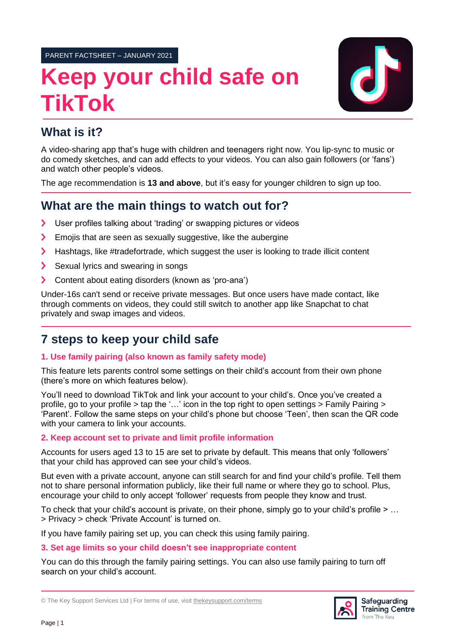PARENT FACTSHEET – JANUARY 2021

# **Keep your child safe on TikTok**



# **What is it?**

A video-sharing app that's huge with children and teenagers right now. You lip-sync to music or do comedy sketches, and can add effects to your videos. You can also gain followers (or 'fans') and watch other people's videos.

The age recommendation is **13 and above**, but it's easy for younger children to sign up too.

# **What are the main things to watch out for?**

- User profiles talking about 'trading' or swapping pictures or videos  $\blacktriangleright$
- Emojis that are seen as sexually suggestive, like the aubergine  $\blacktriangleright$
- Hashtags, like #tradefortrade, which suggest the user is looking to trade illicit content  $\blacktriangleright$
- Sexual lyrics and swearing in songs ゝ
- $\blacktriangleright$ Content about eating disorders (known as 'pro-ana')

Under-16s can't send or receive private messages. But once users have made contact, like through comments on videos, they could still switch to another app like Snapchat to chat privately and swap images and videos.

# **7 steps to keep your child safe**

# **1. Use family pairing (also known as family safety mode)**

This feature lets parents control some settings on their child's account from their own phone (there's more on which features below).

You'll need to download TikTok and link your account to your child's. Once you've created a profile, go to your profile > tap the '…' icon in the top right to open settings > Family Pairing > 'Parent'. Follow the same steps on your child's phone but choose 'Teen', then scan the QR code with your camera to link your accounts.

# **2. Keep account set to private and limit profile information**

Accounts for users aged 13 to 15 are set to private by default. This means that only 'followers' that your child has approved can see your child's videos.

But even with a private account, anyone can still search for and find your child's profile. Tell them not to share personal information publicly, like their full name or where they go to school. Plus, encourage your child to only accept 'follower' requests from people they know and trust.

To check that your child's account is private, on their phone, simply go to your child's profile > … > Privacy > check 'Private Account' is turned on.

If you have family pairing set up, you can check this using family pairing.

## **3. Set age limits so your child doesn't see inappropriate content**

You can do this through the family pairing settings. You can also use family pairing to turn off search on your child's account.